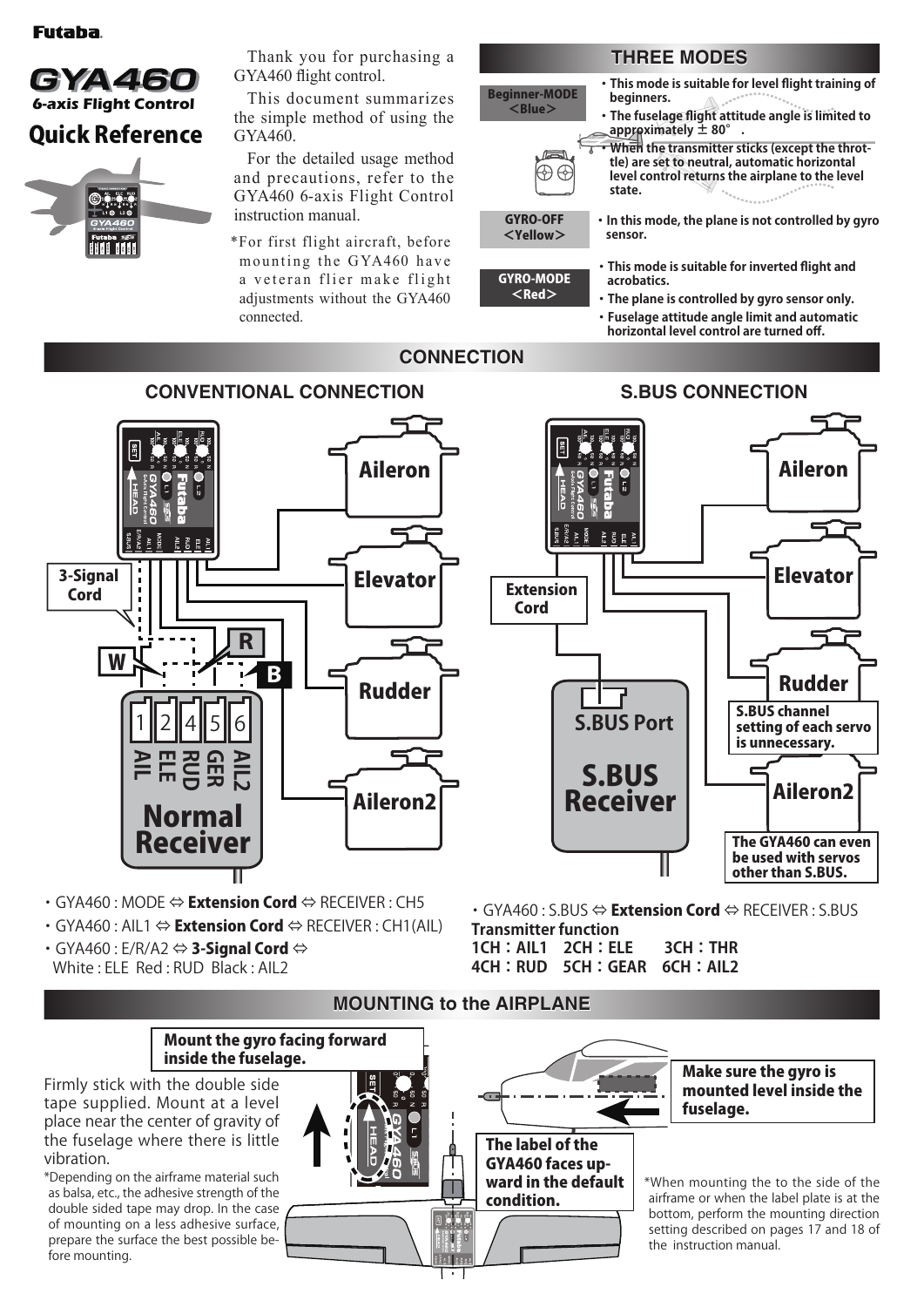#### **Futaba**

# GYA460 **6-axis Flight Control**

## Quick Reference



Thank you for purchasing a GYA460 flight control.

This document summarizes the simple method of using the GYA460.

For the detailed usage method and precautions, refer to the GYA460 6-axis Flight Control instruction manual.

\*For first flight aircraft, before mounting the GYA460 have a veteran flier make flight adjustments without the GYA460 connected.





Aileron



- $\cdot$  GYA460 : MODE  $\Leftrightarrow$  Extension Cord  $\Leftrightarrow$  RECEIVER : CH5
- $\cdot$  GYA460 : AIL1  $\Leftrightarrow$  Extension Cord  $\Leftrightarrow$  RECEIVER : CH1(AIL)
- ・GYA460 : E/R/A2 ⇔ 3-Signal Cord ⇔ White : FLE Red : RUD Black : AIL2

・GYA460 : S.BUS ⇔ Extension Cord ⇔ RECEIVER : S.BUS **Transmitter function 1CH:AIL1 2CH:ELE 3CH:THR 4CH:RUD 5CH:GEAR 6CH:AIL2**